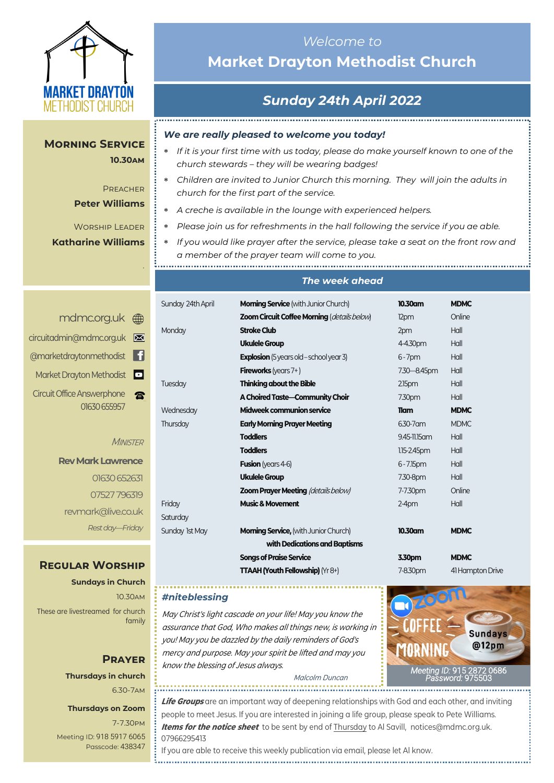

## **Morning Service 10.30am**

## **PREACHER Peter Williams**

*.*

Worship Leader **Katharine Williams**

# *Welcome to*  **Market Drayton Methodist Church**

# *Sunday 24th April 2022*

## *We are really pleased to welcome you today!*

- *If it is your first time with us today, please do make yourself known to one of the church stewards – they will be wearing badges!*
- *Children are invited to Junior Church this morning. They will join the adults in church for the first part of the service.*
- *A creche is available in the lounge with experienced helpers.*

- *Please join us for refreshments in the hall following the service if you ae able.*
- *If you would like prayer after the service, please take a seat on the front row and a member of the prayer team will come to you.*

### *The week ahead*

| Sunday 24th April             | <b>Morning Service</b> (with Junior Church)    | 10.30am            | <b>MDMC</b>      |  |
|-------------------------------|------------------------------------------------|--------------------|------------------|--|
|                               | Zoom Circuit Coffee Morning (details below)    | 12pm               | Online           |  |
| Monday                        | <b>Stroke Club</b>                             | 2pm                | Hall             |  |
|                               | <b>Ukulele Group</b>                           | 4-4.30pm           | Hall             |  |
|                               | <b>Explosion</b> (5 years old – school year 3) | $6 - 7$ pm         | Hall             |  |
|                               | <b>Fireworks</b> (years $7+$ )                 | 7.30 - 8.45pm      | Hall             |  |
| Tuesday                       | <b>Thinking about the Bible</b>                | 2.15 <sub>pm</sub> | Hall             |  |
|                               | A Choired Taste-Community Choir                | 7.30pm             | Hall             |  |
| Wednesday                     | Midweek communion service                      | <b>Tiam</b>        | <b>MDMC</b>      |  |
| Thursday                      | <b>Early Morning Prayer Meeting</b>            | 6.30-7 am          | <b>MDMC</b>      |  |
|                               | <b>Toddlers</b>                                | 9.45-11.15 am      | Hall             |  |
|                               | <b>Toddlers</b>                                | $1.15 - 2.45$ pm   | Hall             |  |
|                               | <b>Fusion</b> (years 4-6)                      | $6 - 7.15$ pm      | Hall             |  |
|                               | <b>Ukulele Group</b>                           | 7.30-8pm           | Hall             |  |
|                               | <b>Zoom Prayer Meeting (details below)</b>     | 7-7.30pm           | Online           |  |
| Friday                        | <b>Music &amp; Movement</b>                    | $2-4$ pm           | Hall             |  |
| Saturday                      |                                                |                    |                  |  |
| Sunday 1st May                | <b>Morning Service, (with Junior Church)</b>   | 10.30am            | <b>MDMC</b>      |  |
| with Dedications and Baptisms |                                                |                    |                  |  |
|                               | <b>Songs of Praise Service</b>                 | 3.30pm             | <b>MDMC</b>      |  |
|                               | <b>TTAAH (Youth Fellowship)</b> (Yr 8+)        | 7-8.30pm           | 41 Hampton Drive |  |
|                               |                                                |                    |                  |  |

### *#niteblessing*

..............................

May Christ's light cascade on your life! May you know the assurance that God, Who makes all things new, is working in you! May you be dazzled by the daily reminders of God's mercy and purpose. May your spirit be lifted and may you know the blessing of Jesus always.



Malcolm Duncan

**Life Groups** are an important way of deepening relationships with God and each other, and inviting people to meet Jesus. If you are interested in joining a life group, please speak to Pete Williams. **Items for the notice sheet** to be sent by end of Thursday to Al Savill, notices@mdmc.org.uk. 07966295413

If you are able to receive this weekly publication via email, please let Al know. 

| mdmc.org.uk <sub>  sm</sub> |
|-----------------------------|
| circuitadmin@mdmc.org.uk    |
| @marketdraytonmethodist     |
| Market Drayton Methodist    |
| Circuit Office Answerphone  |
| 01630 655957                |

### MINISTER

**Rev Mark Lawrence** 01630 652631 07527 796319 revmark@live.co.uk *Rest day—Friday*

## **Regular Worship**

**Sundays in Church** 10.30am These are livestreamed for church family

## **Prayer Thursdays in church** 6.30-7am

### **Thursdays on Zoom**

7-7.30pm [Meeting ID:](https://us04web.zoom.us/j/77138650306?fbclid=IwAR1B778-w3GWZgDnAqUFq-X6hXjzASNTsZuRIt4kZ4Cpyur_3CO2EGlBBwY#success) 918 5917 6065 Passcode: 438347